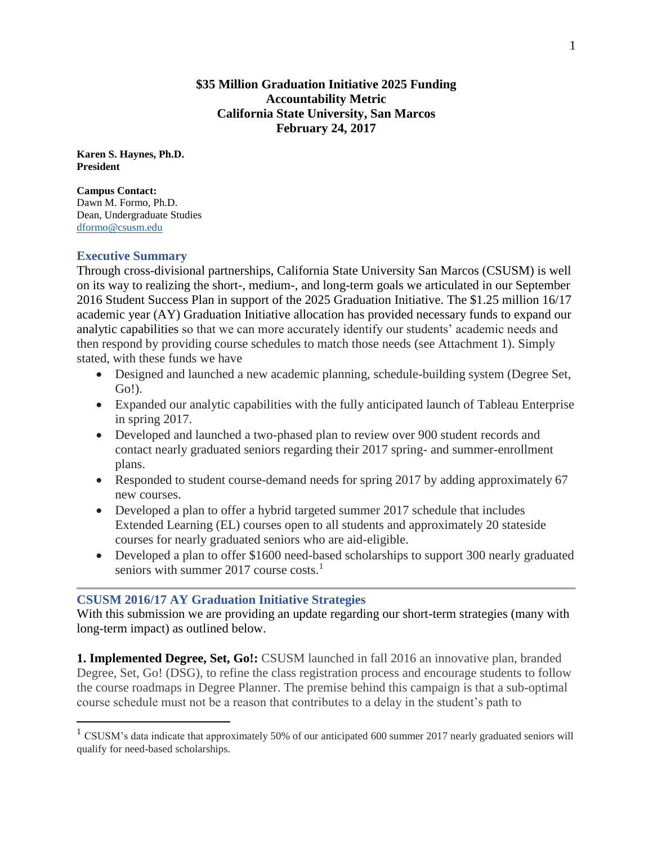### **\$35 Million Graduation Initiative 2025 Funding Accountability Metric California State University, San Marcos February 24, 2017**

**Karen S. Haynes, Ph.D. President** 

**Campus Contact:** Dawn M. Formo, Ph.D. Dean, Undergraduate Studies [dformo@csusm.edu](mailto:dformo@csusm.edu)

### **Executive Summary**

 $\overline{a}$ 

Through cross-divisional partnerships, California State University San Marcos (CSUSM) is well on its way to realizing the short-, medium-, and long-term goals we articulated in our September 2016 Student Success Plan in support of the 2025 Graduation Initiative. The \$1.25 million 16/17 academic year (AY) Graduation Initiative allocation has provided necessary funds to expand our analytic capabilities so that we can more accurately identify our students' academic needs and then respond by providing course schedules to match those needs (see Attachment 1). Simply stated, with these funds we have

- Designed and launched a new academic planning, schedule-building system (Degree Set, Go!).
- Expanded our analytic capabilities with the fully anticipated launch of Tableau Enterprise in spring 2017.
- Developed and launched a two-phased plan to review over 900 student records and contact nearly graduated seniors regarding their 2017 spring- and summer-enrollment plans.
- Responded to student course-demand needs for spring 2017 by adding approximately 67 new courses.
- Developed a plan to offer a hybrid targeted summer 2017 schedule that includes Extended Learning (EL) courses open to all students and approximately 20 stateside courses for nearly graduated seniors who are aid-eligible.
- Developed a plan to offer \$1600 need-based scholarships to support 300 nearly graduated seniors with summer 2017 course  $costs$ <sup>1</sup>

## **CSUSM 2016/17 AY Graduation Initiative Strategies**

With this submission we are providing an update regarding our short-term strategies (many with long-term impact) as outlined below.

**1. Implemented Degree, Set, Go!:** CSUSM launched in fall 2016 an innovative plan, branded Degree, Set, Go! (DSG), to refine the class registration process and encourage students to follow the course roadmaps in Degree Planner. The premise behind this campaign is that a sub-optimal course schedule must not be a reason that contributes to a delay in the student's path to

<sup>&</sup>lt;sup>1</sup> CSUSM's data indicate that approximately 50% of our anticipated 600 summer 2017 nearly graduated seniors will qualify for need-based scholarships.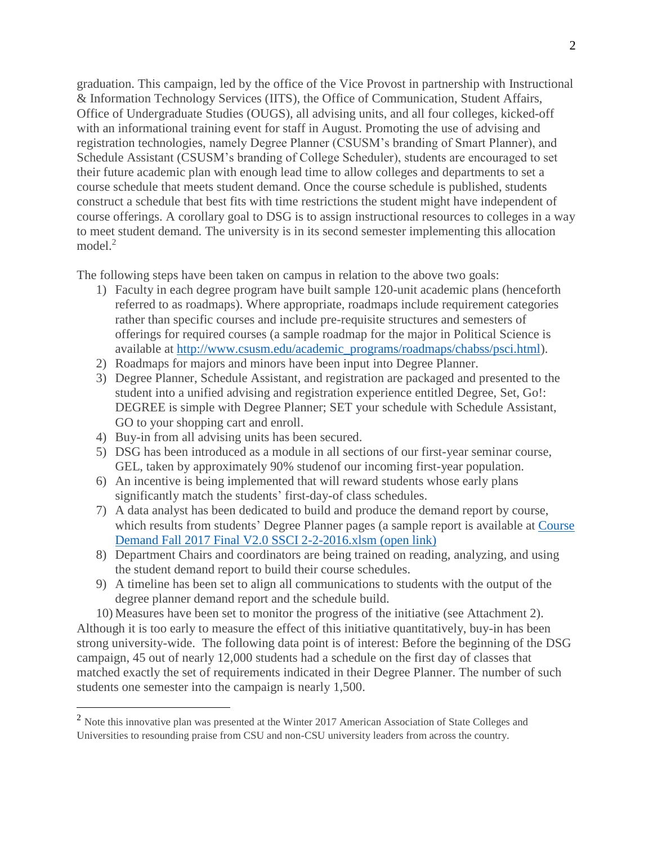graduation. This campaign, led by the office of the Vice Provost in partnership with Instructional & Information Technology Services (IITS), the Office of Communication, Student Affairs, Office of Undergraduate Studies (OUGS), all advising units, and all four colleges, kicked-off with an informational training event for staff in August. Promoting the use of advising and registration technologies, namely Degree Planner (CSUSM's branding of Smart Planner), and Schedule Assistant (CSUSM's branding of College Scheduler), students are encouraged to set their future academic plan with enough lead time to allow colleges and departments to set a course schedule that meets student demand. Once the course schedule is published, students construct a schedule that best fits with time restrictions the student might have independent of course offerings. A corollary goal to DSG is to assign instructional resources to colleges in a way to meet student demand. The university is in its second semester implementing this allocation model. $2$ 

The following steps have been taken on campus in relation to the above two goals:

- 1) Faculty in each degree program have built sample 120-unit academic plans (henceforth referred to as roadmaps). Where appropriate, roadmaps include requirement categories rather than specific courses and include pre-requisite structures and semesters of offerings for required courses (a sample roadmap for the major in Political Science is available at [http://www.csusm.edu/academic\\_programs/roadmaps/chabss/psci.html\)](http://www.csusm.edu/academic_programs/roadmaps/chabss/psci.html).
- 2) Roadmaps for majors and minors have been input into Degree Planner.
- 3) Degree Planner, Schedule Assistant, and registration are packaged and presented to the student into a unified advising and registration experience entitled Degree, Set, Go!: DEGREE is simple with Degree Planner; SET your schedule with Schedule Assistant, GO to your shopping cart and enroll.
- 4) Buy-in from all advising units has been secured.

 $\overline{a}$ 

- 5) DSG has been introduced as a module in all sections of our first-year seminar course, GEL, taken by approximately 90% studenof our incoming first-year population.
- 6) An incentive is being implemented that will reward students whose early plans significantly match the students' first-day-of class schedules.
- 7) A data analyst has been dedicated to build and produce the demand report by course, which results from students' Degree Planner pages (a sample report is available at [Course](https://csusm.box.com/s/hvjlpn4dks8g9g0mjdz1gg3t3ybsdezw)  [Demand Fall 2017 Final V2.0 SSCI 2-2-2016.xlsm \(open link\)](https://csusm.box.com/s/hvjlpn4dks8g9g0mjdz1gg3t3ybsdezw)
- 8) Department Chairs and coordinators are being trained on reading, analyzing, and using the student demand report to build their course schedules.
- 9) A timeline has been set to align all communications to students with the output of the degree planner demand report and the schedule build.

10) Measures have been set to monitor the progress of the initiative (see Attachment 2). Although it is too early to measure the effect of this initiative quantitatively, buy-in has been strong university-wide. The following data point is of interest: Before the beginning of the DSG campaign, 45 out of nearly 12,000 students had a schedule on the first day of classes that matched exactly the set of requirements indicated in their Degree Planner. The number of such students one semester into the campaign is nearly 1,500.

<sup>2</sup> Note this innovative plan was presented at the Winter 2017 American Association of State Colleges and Universities to resounding praise from CSU and non-CSU university leaders from across the country.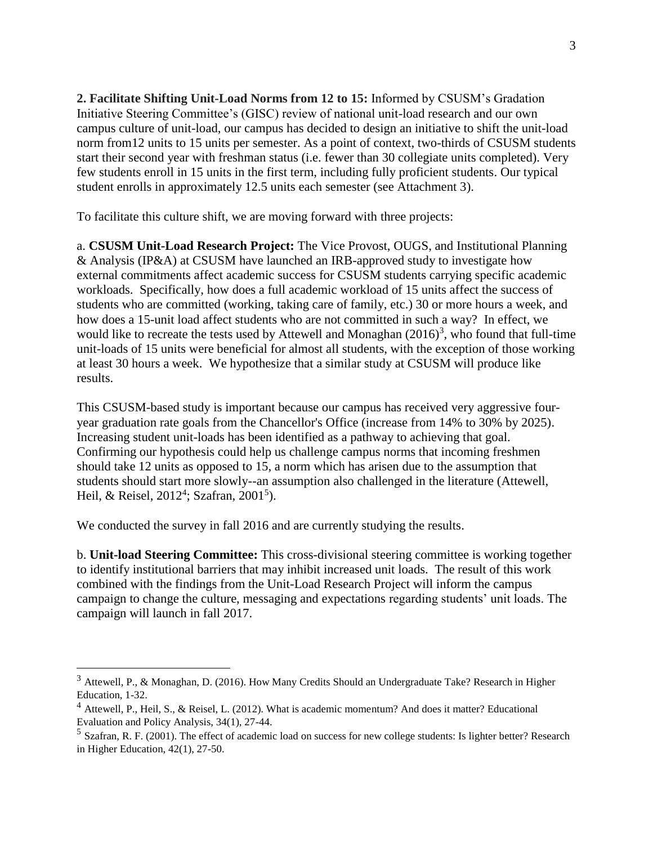**2. Facilitate Shifting Unit-Load Norms from 12 to 15:** Informed by CSUSM's Gradation Initiative Steering Committee's (GISC) review of national unit-load research and our own campus culture of unit-load, our campus has decided to design an initiative to shift the unit-load norm from12 units to 15 units per semester. As a point of context, two-thirds of CSUSM students start their second year with freshman status (i.e. fewer than 30 collegiate units completed). Very few students enroll in 15 units in the first term, including fully proficient students. Our typical student enrolls in approximately 12.5 units each semester (see Attachment 3).

To facilitate this culture shift, we are moving forward with three projects:

a. **CSUSM Unit-Load Research Project:** The Vice Provost, OUGS, and Institutional Planning & Analysis (IP&A) at CSUSM have launched an IRB-approved study to investigate how external commitments affect academic success for CSUSM students carrying specific academic workloads. Specifically, how does a full academic workload of 15 units affect the success of students who are committed (working, taking care of family, etc.) 30 or more hours a week, and how does a 15-unit load affect students who are not committed in such a way? In effect, we would like to recreate the tests used by Attewell and Monaghan  $(2016)^3$ , who found that full-time unit-loads of 15 units were beneficial for almost all students, with the exception of those working at least 30 hours a week. We hypothesize that a similar study at CSUSM will produce like results.

This CSUSM-based study is important because our campus has received very aggressive fouryear graduation rate goals from the Chancellor's Office (increase from 14% to 30% by 2025). Increasing student unit-loads has been identified as a pathway to achieving that goal. Confirming our hypothesis could help us challenge campus norms that incoming freshmen should take 12 units as opposed to 15, a norm which has arisen due to the assumption that students should start more slowly--an assumption also challenged in the literature (Attewell, Heil, & Reisel, 2012<sup>4</sup>; Szafran, 2001<sup>5</sup>).

We conducted the survey in fall 2016 and are currently studying the results.

 $\overline{a}$ 

b. **Unit-load Steering Committee:** This cross-divisional steering committee is working together to identify institutional barriers that may inhibit increased unit loads. The result of this work combined with the findings from the Unit-Load Research Project will inform the campus campaign to change the culture, messaging and expectations regarding students' unit loads. The campaign will launch in fall 2017.

<sup>3</sup> Attewell, P., & Monaghan, D. (2016). How Many Credits Should an Undergraduate Take? Research in Higher Education, 1-32.

 $<sup>4</sup>$  Attewell, P., Heil, S., & Reisel, L. (2012). What is academic momentum? And does it matter? Educational</sup> Evaluation and Policy Analysis, 34(1), 27-44.

 $<sup>5</sup>$  Szafran, R. F. (2001). The effect of academic load on success for new college students: Is lighter better? Research</sup> in Higher Education, 42(1), 27-50.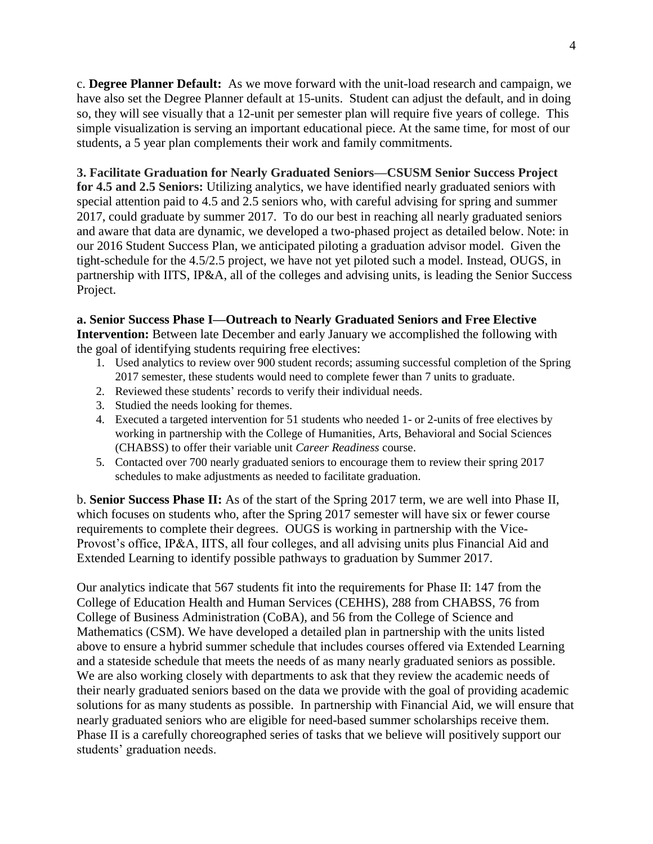c. **Degree Planner Default:** As we move forward with the unit-load research and campaign, we have also set the Degree Planner default at 15-units. Student can adjust the default, and in doing so, they will see visually that a 12-unit per semester plan will require five years of college. This simple visualization is serving an important educational piece. At the same time, for most of our students, a 5 year plan complements their work and family commitments.

## **3. Facilitate Graduation for Nearly Graduated Seniors—CSUSM Senior Success Project**

**for 4.5 and 2.5 Seniors:** Utilizing analytics, we have identified nearly graduated seniors with special attention paid to 4.5 and 2.5 seniors who, with careful advising for spring and summer 2017, could graduate by summer 2017. To do our best in reaching all nearly graduated seniors and aware that data are dynamic, we developed a two-phased project as detailed below. Note: in our 2016 Student Success Plan, we anticipated piloting a graduation advisor model. Given the tight-schedule for the 4.5/2.5 project, we have not yet piloted such a model. Instead, OUGS, in partnership with IITS, IP&A, all of the colleges and advising units, is leading the Senior Success Project.

# **a. Senior Success Phase I—Outreach to Nearly Graduated Seniors and Free Elective**

**Intervention:** Between late December and early January we accomplished the following with the goal of identifying students requiring free electives:

- 1. Used analytics to review over 900 student records; assuming successful completion of the Spring 2017 semester, these students would need to complete fewer than 7 units to graduate.
- 2. Reviewed these students' records to verify their individual needs.
- 3. Studied the needs looking for themes.
- 4. Executed a targeted intervention for 51 students who needed 1- or 2-units of free electives by working in partnership with the College of Humanities, Arts, Behavioral and Social Sciences (CHABSS) to offer their variable unit *Career Readiness* course.
- 5. Contacted over 700 nearly graduated seniors to encourage them to review their spring 2017 schedules to make adjustments as needed to facilitate graduation.

b. **Senior Success Phase II:** As of the start of the Spring 2017 term, we are well into Phase II, which focuses on students who, after the Spring 2017 semester will have six or fewer course requirements to complete their degrees. OUGS is working in partnership with the Vice-Provost's office, IP&A, IITS, all four colleges, and all advising units plus Financial Aid and Extended Learning to identify possible pathways to graduation by Summer 2017.

Our analytics indicate that 567 students fit into the requirements for Phase II: 147 from the College of Education Health and Human Services (CEHHS), 288 from CHABSS, 76 from College of Business Administration (CoBA), and 56 from the College of Science and Mathematics (CSM). We have developed a detailed plan in partnership with the units listed above to ensure a hybrid summer schedule that includes courses offered via Extended Learning and a stateside schedule that meets the needs of as many nearly graduated seniors as possible. We are also working closely with departments to ask that they review the academic needs of their nearly graduated seniors based on the data we provide with the goal of providing academic solutions for as many students as possible. In partnership with Financial Aid, we will ensure that nearly graduated seniors who are eligible for need-based summer scholarships receive them. Phase II is a carefully choreographed series of tasks that we believe will positively support our students' graduation needs.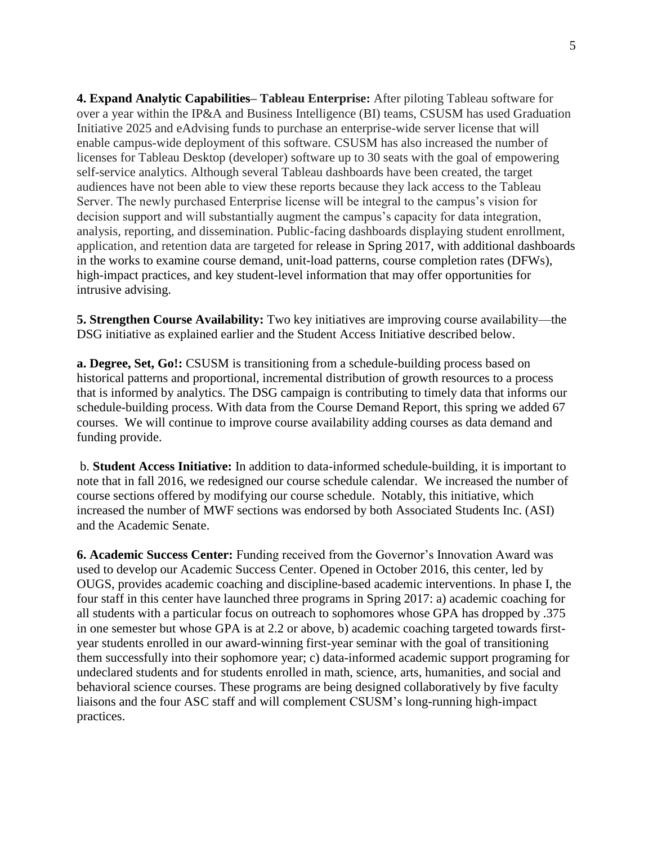**4. Expand Analytic Capabilities– Tableau Enterprise:** After piloting Tableau software for over a year within the IP&A and Business Intelligence (BI) teams, CSUSM has used Graduation Initiative 2025 and eAdvising funds to purchase an enterprise-wide server license that will enable campus-wide deployment of this software. CSUSM has also increased the number of licenses for Tableau Desktop (developer) software up to 30 seats with the goal of empowering self-service analytics. Although several Tableau dashboards have been created, the target audiences have not been able to view these reports because they lack access to the Tableau Server. The newly purchased Enterprise license will be integral to the campus's vision for decision support and will substantially augment the campus's capacity for data integration, analysis, reporting, and dissemination. Public-facing dashboards displaying student enrollment, application, and retention data are targeted for release in Spring 2017, with additional dashboards in the works to examine course demand, unit-load patterns, course completion rates (DFWs), high-impact practices, and key student-level information that may offer opportunities for intrusive advising.

**5. Strengthen Course Availability:** Two key initiatives are improving course availability—the DSG initiative as explained earlier and the Student Access Initiative described below.

**a. Degree, Set, Go!:** CSUSM is transitioning from a schedule-building process based on historical patterns and proportional, incremental distribution of growth resources to a process that is informed by analytics. The DSG campaign is contributing to timely data that informs our schedule-building process. With data from the Course Demand Report, this spring we added 67 courses. We will continue to improve course availability adding courses as data demand and funding provide.

b. **Student Access Initiative:** In addition to data-informed schedule-building, it is important to note that in fall 2016, we redesigned our course schedule calendar. We increased the number of course sections offered by modifying our course schedule. Notably, this initiative, which increased the number of MWF sections was endorsed by both Associated Students Inc. (ASI) and the Academic Senate.

**6. Academic Success Center:** Funding received from the Governor's Innovation Award was used to develop our Academic Success Center. Opened in October 2016, this center, led by OUGS, provides academic coaching and discipline-based academic interventions. In phase I, the four staff in this center have launched three programs in Spring 2017: a) academic coaching for all students with a particular focus on outreach to sophomores whose GPA has dropped by .375 in one semester but whose GPA is at 2.2 or above, b) academic coaching targeted towards firstyear students enrolled in our award-winning first-year seminar with the goal of transitioning them successfully into their sophomore year; c) data-informed academic support programing for undeclared students and for students enrolled in math, science, arts, humanities, and social and behavioral science courses. These programs are being designed collaboratively by five faculty liaisons and the four ASC staff and will complement CSUSM's long-running high-impact practices.